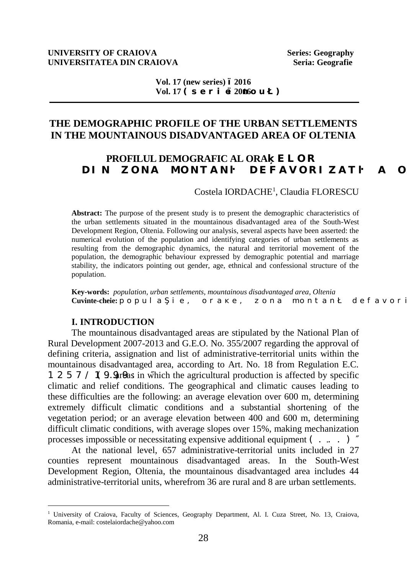#### **UNIVERSITY OF CRAIOVA Series: Geography UNIVERSITATEA DIN CRAIOVA Seria: Geografie Seria: Geografie**

**Vol. 17 (new series) ±2016**  $Vol. 17 * u g t k g 2006 q w + "20140 q w + "20140 q w + "20140 q w + "20140 q w + "20140 q w + "20140 q w + "20140 q w + "20140 q w + "20140 q w + "20140 q w + "20140 q w + "20140 q w + "20140 q w + "20140 q w + "20140 q w + "20140 q w + "20140 q w + "20140 q w + "20140 q w + "20140 q w + "20140 q w + "20140 q w + "20$ 

# **THE DEMOGRAPHIC PROFILE OF THE URBAN SETTLEMENTS IN THE MOUNTAINOUS DISADVANTAGED AREA OF OLTENIA**

# **PROFILUL DEMOGRAFIC AL ORA GNOT" FKP" \ OPC" OOPVCP TFGHCXOTK \ CV TC" O**

Costela IORDACHE<sup>1</sup> , Claudia FLORESCU

**Abstract:** The purpose of the present study is to present the demographic characteristics of the urban settlements situated in the mountainous disadvantaged area of the South-West Development Region, Oltenia. Following our analysis, several aspects have been asserted: the numerical evolution of the population and identifying categories of urban settlements as resulting from the demographic dynamics, the natural and territorial movement of the population, the demographic behaviour expressed by demographic potential and marriage stability, the indicators pointing out gender, age, ethnical and confessional structure of the population.

**Key-words:** *population, urban settlements, mountainous disadvantaged area, Oltenia* **Cuvinte-cheie:**  $r q r w n c k g.$  "  $q t c g.$  "  $q p c$  "  $o q p v c p$  "  $f g h c x q t$ 

#### **I. INTRODUCTION**

 $\overline{a}$ 

The mountainous disadvantaged areas are stipulated by the National Plan of Rural Development 2007-2013 and G.E.O. No. 355/2007 regarding the approval of defining criteria, assignation and list of administrative-territorial units within the mountainous disadvantaged area, according to Art. No. 18 from Regulation E.C. 1 2 5 7  $/$  1 9.9 Out are number the agricultural production is affected by specific climatic and relief conditions. The geographical and climatic causes leading to these difficulties are the following: an average elevation over 600 m, determining extremely difficult climatic conditions and a substantial shortening of the vegetation period; or an average elevation between 400 and 600 m, determining difficult climatic conditions, with average slopes over 15%, making mechanization processes impossible or necessitating expensive additional equipment  $($ ...)

At the national level, 657 administrative-territorial units included in 27 counties represent mountainous disadvantaged areas. In the South-West Development Region, Oltenia, the mountainous disadvantaged area includes 44 administrative-territorial units, wherefrom 36 are rural and 8 are urban settlements.

<sup>&</sup>lt;sup>1</sup> University of Craiova, Faculty of Sciences, Geography Department, Al. I. Cuza Street, No. 13, Craiova, Romania, e-mail: costelaiordache@yahoo.com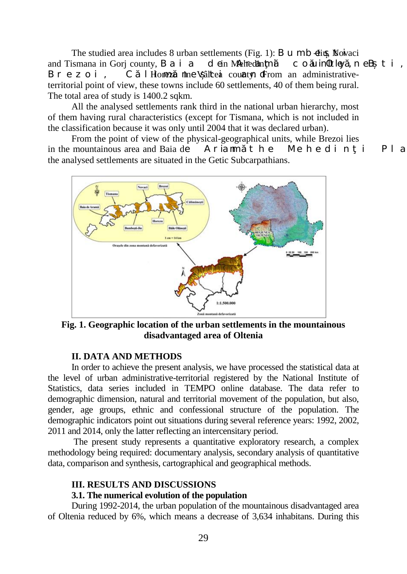The studied area includes 8 urban settlements (Fig. 1): B  $\mu$  m b  $\delta$ iu, Novaci and Tismana in Gorj county, B a i a dein Mehedin $m_i$  count  $\theta$  ky, n e B  $t$  i, Brezoi, C 1 Horrezu nine Vâlcea county. From an administrativeterritorial point of view, these towns include 60 settlements, 40 of them being rural. The total area of study is 1400.2 sqkm.

All the analysed settlements rank third in the national urban hierarchy, most of them having rural characteristics (except for Tismana, which is not included in the classification because it was only until 2004 that it was declared urban).

From the point of view of the physical-geographical units, while Brezoi lies in the mountainous area and Baia de Aria m  $t$  he Mehedin i Pla the analysed settlements are situated in the Getic Subcarpathians.



**Fig. 1. Geographic location of the urban settlements in the mountainous disadvantaged area of Oltenia**

#### **II. DATA AND METHODS**

In order to achieve the present analysis, we have processed the statistical data at the level of urban administrative-territorial registered by the National Institute of Statistics, data series included in TEMPO online database. The data refer to demographic dimension, natural and territorial movement of the population, but also, gender, age groups, ethnic and confessional structure of the population. The demographic indicators point out situations during several reference years: 1992, 2002, 2011 and 2014, only the latter reflecting an intercensitary period.

The present study represents a quantitative exploratory research, a complex methodology being required: documentary analysis, secondary analysis of quantitative data, comparison and synthesis, cartographical and geographical methods.

#### **III. RESULTS AND DISCUSSIONS**

#### **3.1. The numerical evolution of the population**

During 1992-2014, the urban population of the mountainous disadvantaged area of Oltenia reduced by 6%, which means a decrease of 3,634 inhabitans. During this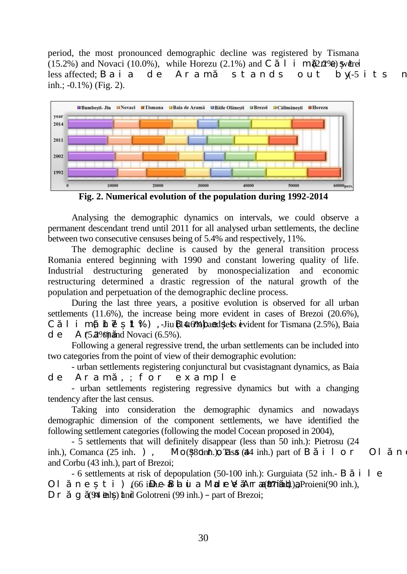period, the most pronounced demographic decline was registered by Tismana (15.2%) and Novaci (10.0%), while Horezu (2.1%) and C  $\dot{I}$  i m (2 $\hat{n}$ %) were less affected; Baia de Aram stands out by  $-5$  its n inh.; -0.1%) (Fig. 2).



**Fig. 2. Numerical evolution of the population during 1992-2014**

Analysing the demographic dynamics on intervals, we could observe a permanent descendant trend until 2011 for all analysed urban settlements, the decline between two consecutive censuses being of 5.4% and respectively, 11%.

The demographic decline is caused by the general transition process Romania entered beginning with 1990 and constant lowering quality of life. Industrial destructuring generated by monospecialization and economic restructuring determined a drastic regression of the natural growth of the population and perpetuation of the demographic decline process.

During the last three years, a positive evolution is observed for all urban settlements (11.6%), the increase being more evident in cases of Brezoi (20.6%), C 1 i m ( $\hbar \vec{e}$ . 1 %), -Jiu  $\bf{B14.6%}$  band less evident for Tismana (2.5%), Baia d e A  $f$ 5. $\mathcal{D}\%$  and Novaci (6.5%).

Following a general regressive trend, the urban settlements can be included into two categories from the point of view of their demographic evolution:

- urban settlements registering conjunctural but cvasistagnant dynamics, as Baia de Aram, ; for example

- urban settlements registering regressive dynamics but with a changing tendency after the last census.

Taking into consideration the demographic dynamics and nowadays demographic dimension of the component settlements, we have identified the following settlement categories (following the model Cocean proposed in 2004),

- 5 settlements that will definitely disappear (less than 50 inh.): Pietrosu (24 inh.), Comanca (25 inh.), Mo $(38$  dinh.), The sa (44 inh.) part of B i l o r Ol n and Corbu (43 inh.), part of Brezoi;

 $-6$  settlements at risk of depopulation (50-100 inh.): Gurguiata (52 inh. $- B$  i 1 e Ol ne ti),  $(66$  inhe-Baiu a Mare V Arr  $a(87$ iinh), a Proieni $(90 \text{ inh.})$ ,  $D r$  g (94 inh.) and Golotreni (99 inh.) – part of Brezoi;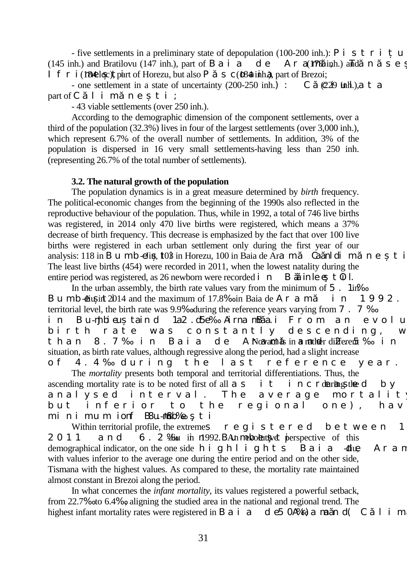- five settlements in a preliminary state of depopulation (100-200 inh.): P i s t r i u (145 inh.) and Bratilovu (147 inh.), part of B a i a d e A r a  $\frac{1}{108}$  inh.) and n s e If  $r i$  (184 loc), part of Horezu, but also P s c (184 inh.), part of Brezoi;

- one settlement in a state of uncertainty  $(200-250 \text{ inh.})$ : C  $(229 \text{ infl.})$ , a t a part of C l i m n e t i :

- 43 viable settlements (over 250 inh.).

According to the demographic dimension of the component settlements, over a third of the population (32.3%) lives in four of the largest settlements (over 3,000 inh.), which represent 6.7% of the overall number of settlements. In addition, 3% of the population is dispersed in 16 very small settlements-having less than 250 inh. (representing 26.7% of the total number of settlements).

#### **3.2. The natural growth of the population**

The population dynamics is in a great measure determined by *birth* frequency. The political-economic changes from the beginning of the 1990s also reflected in the reproductive behaviour of the population. Thus, while in 1992, a total of 746 live births was registered, in 2014 only 470 live births were registered, which means a 37% decrease of birth frequency. This decrease is emphasized by the fact that over 100 live births were registered in each urban settlement only during the first year of our analysis:  $118$  in B u m b  $\text{-}$  Eliu,  $103$  in Horezu,  $100$  in Baia de Aram $\text{Ca}$  and  $\text{Ca}$  and  $\text{Ca}$  m and  $\text{Ca}$ The least live births (454) were recorded in 2011, when the lowest natality during the entire period was registered, as 26 newborn were recorded in B in le e t  $\overline{0}$  l.

In the urban assembly, the birth rate values vary from the minimum of  $5$ . 1in<sup> $\%$ </sup> Bumb  $\overline{di}$  in 2014 and the maximum of 17.8‰ in Baia de Aram $\overline{di}$  n 1992. territorial level, the birth rate was 9.9‰ during the reference years varying from 7.7‰ in Bu-mibieu taind 1a2.d5e‰ Airna mBai From an evolutivit hate was constantly descending, w birth rate was constantly descending, than 8.7‰ in Baia de ArNoavanciis in a mathebr differenti‰ in situation, as birth rate values, although regressive along the period, had a slight increase of 4.4‰ during the last reference year.

The *mortality* presents both temporal and territorial differentiations. Thus, the ascending mortality rate is to be noted first of all  $a \cdot s$  it increased by analysed interval. The average mortalit but inferior to the regional one), havi minimum ionf BSu.-Junkb‰ ti

Within territorial profile, the extremes  $r e g i s t e r e d$  between 1  $2011$  and  $6.2$  ‰  $\mu$  in nl 992. BAn metroductive perspective of this demographical indicator, on the one side h i g h l i g h t s  $\overline{B}$  a i a  $\overline{d}$  diug Ar a n with values inferior to the average one during the entire period and on the other side, Tismana with the highest values. As compared to these, the mortality rate maintained almost constant in Brezoi along the period.

In what concernes the *infant mortality*, its values registered a powerful setback, from 22.7‰ to 6.4‰, aligning the studied area in the national and regional trend. The highest infant mortality rates were registered in B a i a d e5 0.4‰) and n d( C 1 i m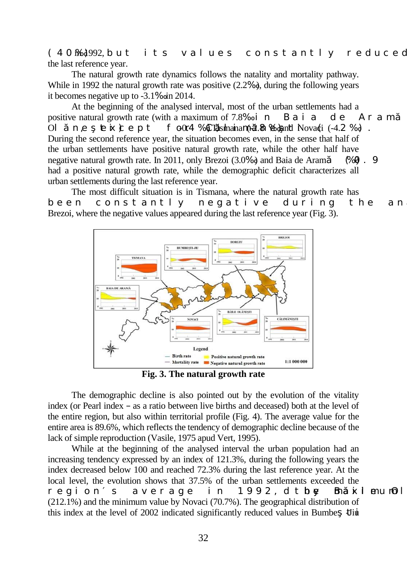(40‱)<sup>1992</sup>, but its values constantly reduced the last reference year.

The natural growth rate dynamics follows the natality and mortality pathway. While in 1992 the natural growth rate was positive (2.2‰), during the following years it becomes negative up to -3.1‰ in 2014.

At the beginning of the analysed interval, most of the urban settlements had a positive natural growth rate (with a maximum of  $7.8\%$  in Baia de Aram Ol ne  $\mathbf{E}$  is  $\mathbf{k}$  ept for Calimana (-2.8 ‰) and Novaci (-4.2 ‰). During the second reference year, the situation becomes even, in the sense that half of the urban settlements have positive natural growth rate, while the other half have negative natural growth rate. In 2011, only Brezoi  $(3.0\%)$  and Baia de Aram  $(\% 0 \times 9)$ had a positive natural growth rate, while the demographic deficit characterizes all urban settlements during the last reference year.

The most difficult situation is in Tismana, where the natural growth rate has been constantly negative during the ana Brezoi, where the negative values appeared during the last reference year (Fig. 3).



**Fig. 3. The natural growth rate**

The demographic decline is also pointed out by the evolution of the vitality index (or Pearl index  $-$  as a ratio between live births and deceased) both at the level of the entire region, but also within territorial profile (Fig. 4). The average value for the entire area is 89.6%, which reflects the tendency of demographic decline because of the lack of simple reproduction (Vasile, 1975 apud Vert, 1995).

While at the beginning of the analysed interval the urban population had an increasing tendency expressed by an index of 121.3%, during the following years the index decreased below 100 and reached 72.3% during the last reference year. At the local level, the evolution shows that 37.5% of the urban settlements exceeded the regions average in 1992, d they Bhakimum Ol (212.1%) and the minimum value by Novaci (70.7%). The geographical distribution of this index at the level of  $2002$  indicated significantly reduced values in Bumbe  $\pm$  Jiu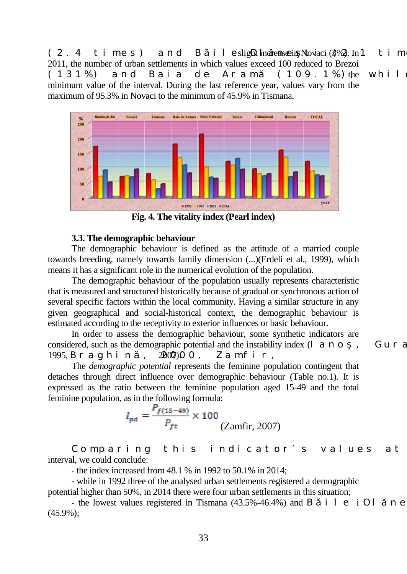$(2.4 \text{ t} \text{ in} \text{e} \text{ s})$  and B ile slight increase in Novaci (3%). In 1 t im 2011, the number of urban settlements in which values exceed 100 reduced to Brezoi  $(131\%)$  and Baia de Aram  $(109.1\%)$  the while minimum value of the interval. During the last reference year, values vary from the maximum of 95.3% in Novaci to the minimum of 45.9% in Tismana.



**Fig. 4. The vitality index (Pearl index)**

### **3.3. The demographic behaviour**

The demographic behaviour is defined as the attitude of a married couple towards breeding, namely towards family dimension (...)(Erdeli et al., 1999), which means it has a significant role in the numerical evolution of the population.

The demographic behaviour of the population usually represents characteristic that is measured and structured historically because of gradual or synchronous action of several specific factors within the local community. Having a similar structure in any given geographical and social-historical context, the demographic behaviour is estimated according to the receptivity to exterior influences or basic behaviour.

In order to assess the demographic behaviour, some synthetic indicators are considered, such as the demographic potential and the instability index  $(I \text{ a } n \text{ o } ,$  Guran, 1995, B r a g h i n, 2007) $0$ , Z a m f i r,

The *demographic potential* represents the feminine population contingent that detaches through direct influence over demographic behaviour (Table no.1). It is expressed as the ratio between the feminine population aged 15-49 and the total feminine population, as in the following formula:

$$
I_{pd} = \frac{P_{f(15-49)}}{P_{ft}} \times 100
$$
 (Zamfir, 2007)

Comparing this indicator s values at interval, we could conclude:

- the index increased from 48.1 % in 1992 to 50.1% in 2014;

- while in 1992 three of the analysed urban settlements registered a demographic potential higher than 50%, in 2014 there were four urban settlements in this situation;

- the lowest values registered in Tismana  $(43.5\% - 46.4\%)$  and B i l e i Ol n e (45.9%);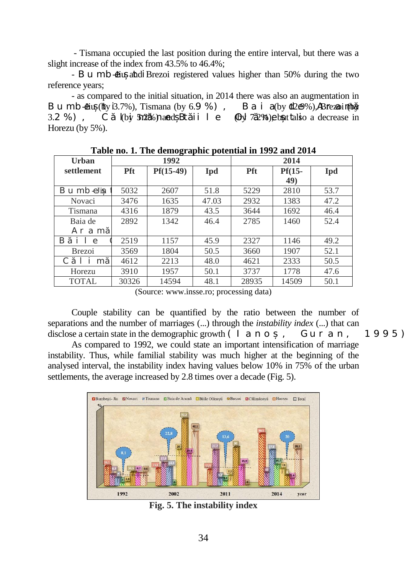- Tismana occupied the last position during the entire interval, but there was a slight increase of the index from 43.5% to 46.4%;

- Bumb  $\overline{4}$ iu and Brezoi registered values higher than 50% during the two reference years;

- as compared to the initial situation, in 2014 there was also an augmentation in Bumbetiu (by  $3.7\%$ ), Tismana (by  $6.9\%$ ), Baia (by  $12.6\%$ ), Asrezoi (fby 3.2 %), C  $\overline{a}$  (by  $\frac{5n}{2}$ %) and B $\overline{a}$  ii 1 e  $\overline{a}$  Ol $\overline{a}$  7.2%) e but talso a decrease in Horezu (by 5%).

| Urban                                  |            | 1992        |       | 2014       |          |            |  |
|----------------------------------------|------------|-------------|-------|------------|----------|------------|--|
| settlement                             | <b>Pft</b> | $Pf(15-49)$ | Ipd   | <b>Pft</b> | $Pf(15-$ | <b>Ipd</b> |  |
|                                        |            |             |       |            | 49)      |            |  |
| Bumbeliu                               | 5032       | 2607        | 51.8  | 5229       | 2810     | 53.7       |  |
| Novaci                                 | 3476       | 1635        | 47.03 | 2932       | 1383     | 47.2       |  |
| Tismana                                | 4316       | 1879        | 43.5  | 3644       | 1692     | 46.4       |  |
| Baia de                                | 2892       | 1342        | 46.4  | 2785       | 1460     | 52.4       |  |
| Ar a m                                 |            |             |       |            |          |            |  |
| B<br>$i \; 1 \; e$                     | 2519       | 1157        | 45.9  | 2327       | 1146     | 49.2       |  |
| <b>Brezoi</b>                          | 3569       | 1804        | 50.5  | 3660       | 1907     | 52.1       |  |
| $\mathcal{C}_{\mathcal{C}}$<br>j.<br>m | 4612       | 2213        | 48.0  | 4621       | 2333     | 50.5       |  |
| Horezu                                 | 3910       | 1957        | 50.1  | 3737       | 1778     | 47.6       |  |
| <b>TOTAL</b>                           | 30326      | 14594       | 48.1  | 28935      | 14509    | 50.1       |  |

**Table no. 1. The demographic potential in 1992 and 2014**

(Source: [www.insse.ro;](http://www.insse.ro/) processing data)

Couple stability can be quantified by the ratio between the number of separations and the number of marriages (...) through the *instability index* (...) that can disclose a certain state in the demographic growth  $(I \text{ a } n \text{ o } ,$  Guran, 1995).

As compared to 1992, we could state an important intensification of marriage instability. Thus, while familial stability was much higher at the beginning of the analysed interval, the instability index having values below 10% in 75% of the urban settlements, the average increased by 2.8 times over a decade (Fig. 5).



**Fig. 5. The instability index**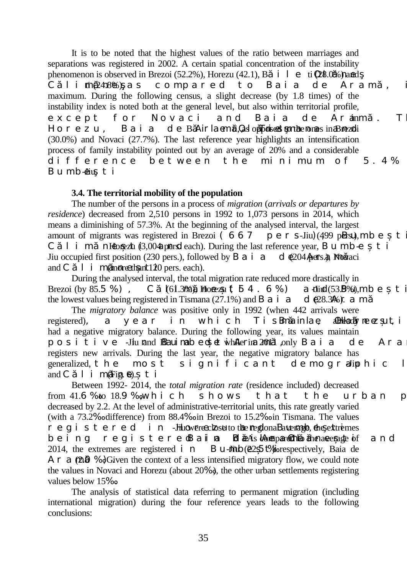It is to be noted that the highest values of the ratio between marriages and separations was registered in 2002. A certain spatial concentration of the instability phenomenon is observed in Brezoi (52.2%), Horezu (42.1), B i 1 e ti  $(28.0\%)$  hand C limă (2418%), as compared to Baia de Aram maximum. During the following census, a slight decrease (by 1.8 times) of the instability index is noted both at the general level, but also within territorial profile, except for Novaci and Baia de Aramm. Th  $H \circ r$  e z u, B a i a d e B Air la em ti,  $\Omega$  as opposed to the ones in Brezoli (30.0%) and Novaci (27.7%). The last reference year highlights an intensification process of family instability pointed out by an average of 20% and a considerable difference between the minimum of  $5.4\%$ Bumb-diu. t i

### **3.4. The territorial mobility of the population**

The number of the persons in a process of *migration* (*arrivals or departures by residence*) decreased from 2,510 persons in 1992 to 1,073 persons in 2014, which means a diminishing of 57.3%. At the beginning of the analysed interval, the largest amount of migrants was registered in Brezoi (667 per s-Jiu) (499 p**ers.**), m b e t C 1 i m nHorezu  $(3,004)$  pers. each). During the last reference year, Bumber t i Jiu occupied first position (230 pers.), followed by B a i a d  $\epsilon$ (204  $\phi$ ers.), Novaci and C  $\dot{1}$  i m(more than 120 pers. each).

During the analysed interval, the total migration rate reduced more drastically in Brezoi (by 85.5 %), C  $(61.36)$ , Horezu (54.6%) and Bumbersti (53.**B**%), mberti the lowest values being registered in Tismana (27.1%) and B a i a d  $\epsilon$ 28.3%). a m

The *migratory balance* was positive only in 1992 (when 442 arrivals were registered), a year in which Tis Banain lae, **ADH**ordy ne ez ut, i had a negative migratory balance. During the following year, its values maintain positive -Jiu nand BRauimabed et while rima 2001 1 only Baia de Ara registers new arrivals. During the last year, the negative migratory balance has generalized, the most significant demograliphic  $l$ and C  $1$  i m(Fig. 6). t i

Between 1992- 2014, the *total migration rate* (residence included) decreased from 41.6‰ to 18.9‰,which shows that the urban p decreased by 2.2. At the level of administrative-territorial units, this rate greatly varied (with a 73.2‰ difference) from 88.4‰ in Brezoi to 15.2‰ in Tismana. The values  $r e g i s t e r e d i n$  -Hinowere close to the megional Bauerangle, the extremes being registere Bain**a BeAs tempared to the average of** and 2014, the extremes are registered in Bu-mube $(22.5 \text{ t\%})$  respectively. Baia de A r a  $(2.0 %)$ . Given the context of a less intensified migratory flow, we could note the values in Novaci and Horezu (about 20‰), the other urban settlements registering values below 15‰.

The analysis of statistical data referring to permanent migration (including international migration) during the four reference years leads to the following conclusions: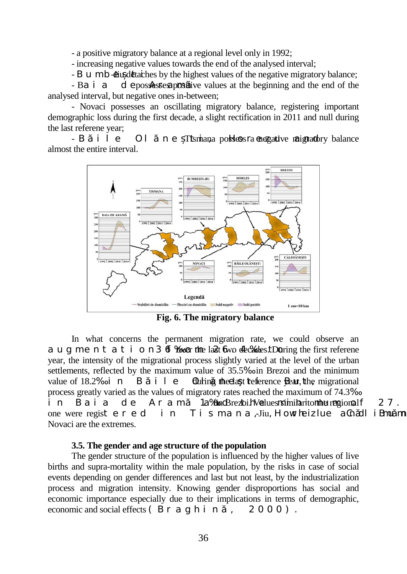- a positive migratory balance at a regional level only in 1992;

- increasing negative values towards the end of the analysed interval;

- Bumbes - Bumbeți - Jiu detaches by the highest values of the negative migratory balance;

- Ba i a depossesses positive values at the beginning and the end of the analysed interval, but negative ones in-between;

- Novaci possesses an oscillating migratory balance, registering important demographic loss during the first decade, a slight rectification in 2011 and null during the last referene year;

- B i l e Ol n e Tismana polytess ra enegative maigratory balance almost the entire interval.



**Fig. 6. The migratory balance**

In what concerns the permanent migration rate, we could observe an augmentation 36.4‰ to  $46$ % to  $46$ % to 36% to 26.4% to 36% to 36% to 36% to 36% to 36% to 36% to 36% to 36% to 36% to 36% to 36% to 36% to 36% to 36% to 36% to 36% to 36% to 36% to 36% to 36% to 36% to 36% to 36% to 36% year, the intensity of the migrational process slightly varied at the level of the urban settlements, reflected by the maximum value of 35.5‰ in Brezoi and the minimum value of 18.2‰ in B i l e Oluting the elast reference  $\mathbf{R}$ ar, the migrational process greatly varied as the values of migratory rates reached the maximum of 74.3‰ in Baia de Aram  $1a\%$ in Brezoi. N'alues na imitaritor the regional f 27. one were registered in Tismana, Jiu, How he iz lue a Gh dl i Brum Novaci are the extremes.

#### **3.5. The gender and age structure of the population**

The gender structure of the population is influenced by the higher values of live births and supra-mortality within the male population, by the risks in case of social events depending on gender differences and last but not least, by the industrialization process and migration intensity. Knowing gender disproportions has social and economic importance especially due to their implications in terms of demographic, economic and social effects  $(Br a g h i n$ , 2000).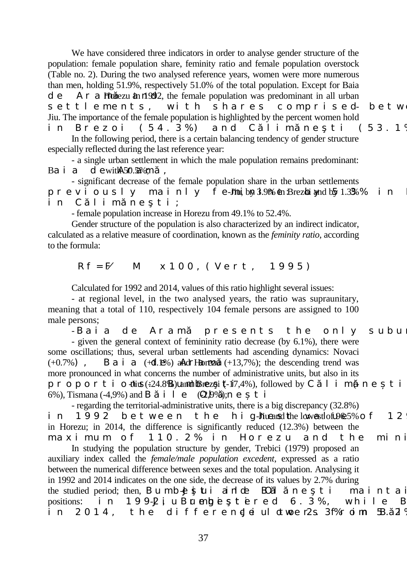We have considered three indicators in order to analyse gender structure of the population: female population share, feminity ratio and female population overstock (Table no. 2). During the two analysed reference years, women were more numerous than men, holding 51.9%, respectively 51.0% of the total population. Except for Baia  $d e$  Ar a **h**orezu in  $\frac{d^2 u}{dx^2}$ , the female population was predominant in all urban settlements, with shares comprised-betwe Jiu. The importance of the female population is highlighted by the percent women hold in Brezoi (54.3%) and Climaneti (53.1%) In the following period, there is a certain balancing tendency of gender structure

especially reflected during the last reference year:

- a single urban settlement in which the male population remains predominant: Baia de with 50.5%; m

- significant decrease of the female population share in the urban settlements previously mainly fe- $\overline{J}$  in Brezbi and by 1.3% % in in Climneti;

- female population increase in Horezu from 49.1% to 52.4%.

Gender structure of the population is also characterized by an indirect indicator, calculated as a relative measure of coordination, known as the *feminity ratio*, according to the formula:

 $Rf = F$  M  $x 1 0 0$ , (Vert, 1995)

Calculated for 1992 and 2014, values of this ratio highlight several issues:

- at regional level, in the two analysed years, the ratio was supraunitary, meaning that a total of 110, respectively 104 female persons are assigned to 100 male persons;

- Baia de Aram presents the only subus - given the general context of femininity ratio decrease (by 6.1%), there were some oscillations; thus, several urban settlements had ascending dynamics: Novaci  $(+0.7%)$ , Baia  $(+d.1%)$  and Horezu  $(+13,7%)$ ; the descending trend was more pronounced in what concerns the number of administrative units, but also in its proporti o $\text{div}(24.8\text{%)}$  and Brezoi (-17,4%), followed by C l i m (-neti 6%), Tismana (-4,9%) and B i l e  $(\mathbb{C}\mathbb{D}\mathbb{P})$ ; n e t i

- regarding the territorial-administrative units, there is a big discrepancy (32.8%) in  $1992$  between the hig-Liueand the lowerst of  $199.5\%$  of 12 in Horezu; in 2014, the difference is significantly reduced (12.3%) between the maximum of 110.2% in Horezu and the mini

In studying the population structure by gender, Trebici (1979) proposed an auxiliary index called the *female/male population excedent*, expressed as a ratio between the numerical difference between sexes and the total population. Analysing it in 1992 and 2014 indicates on the one side, the decrease of its values by 2.7% during the studied period; then, Bumbeliui ainlote BOlneti maintain positions: in  $199-2$  iu Bumbestered 6.3%, while B in  $2014$ , the differencJeiul otwoer $2s$ .  $3f$ % roim  $5B$ .  $2\frac{9}{3}$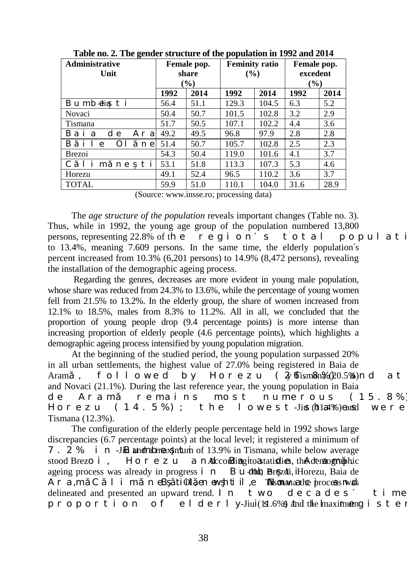| Administrative<br>Unit                              | Female pop.<br>share<br>$\frac{6}{6}$ |                | <b>Feminity ratio</b><br>$($ %) |                | Female pop.<br>excedent<br>$(\%)$ |      |
|-----------------------------------------------------|---------------------------------------|----------------|---------------------------------|----------------|-----------------------------------|------|
|                                                     | 1992                                  | 2014           | 1992                            | 2014           | 1992                              | 2014 |
| Bumbeliuti                                          | 56.4                                  | 51.1           | 129.3                           | 104.5          | 6.3                               | 5.2  |
| Novaci                                              | 50.4                                  | 50.7           | 101.5                           | 102.8          | 3.2                               | 2.9  |
| Tismana                                             | 51.7                                  | 50.5           | 107.1                           | 102.2          | 4.4                               | 3.6  |
| B a i<br>d<br>Ar<br>a<br>e<br>a                     | 49.2                                  | 49.5           | 96.8                            | 97.9           | 2.8                               | 2.8  |
| B<br>i 1<br>O 1<br>e<br>n e                         | 51.4                                  | 50.7           | 105.7                           | 102.8          | 2.5                               | 2.3  |
| <b>Brezoi</b>                                       | 54.3                                  | 50.4           | 119.0                           | 101.6          | 4.1                               | 3.7  |
| $\mathbf{i}$<br>i<br>$\mathcal{C}$<br>t<br>m<br>n e | 53.1                                  | 51.8           | 113.3                           | 107.3          | 5.3                               | 4.6  |
| Horezu                                              | 49.1                                  | 52.4           | 96.5                            | 110.2          | 3.6                               | 3.7  |
| <b>TOTAL</b>                                        | 59.9                                  | 51.0           | 110.1                           | 104.0          | 31.6                              | 28.9 |
| $\sqrt{2}$                                          |                                       | $\blacksquare$ |                                 | $\blacksquare$ |                                   |      |

**Table no. 2. The gender structure of the population in 1992 and 2014**

(Source: [www.insse.ro;](http://www.insse.ro/) processing data)

The *age structure of the population* reveals important changes (Table no. 3). Thus, while in 1992, the young age group of the population numbered 13,800 persons, representing  $22.8\%$  of the region<sup>s</sup> total population to 13.4%, meaning 7.609 persons. In the same time, the elderly population s percent increased from 10.3% (6,201 persons) to 14.9% (8,472 persons), revealing the installation of the demographic ageing process.

Regarding the genres, decreases are more evident in young male population, whose share was reduced from 24.3% to 13.6%, while the percentage of young women fell from 21.5% to 13.2%. In the elderly group, the share of women increased from 12.1% to 18.5%, males from 8.3% to 11.2%. All in all, we concluded that the proportion of young people drop (9.4 percentage points) is more intense than increasing proportion of elderly people (4.6 percentage points), which highlights a demographic ageing process intensified by young population migration.

At the beginning of the studied period, the young population surpassed 20% in all urban settlements, the highest value of 27.0% being registered in Baia de Aram, followed by Horezu ( $2\sqrt{a}$  fism $\sinh(\pi/20.5\%)$ nd at and Novaci (21.1%). During the last reference year, the young population in Baia de Aram remains most numerous (15.8%) Horezu ( $14.5\%$ ); the lowest-Jius ( $\text{h}1a4\%$ ) eausd were Tismana (12.3%).

The configuration of the elderly people percentage held in 1992 shows large discrepancies (6.7 percentage points) at the local level; it registered a minimum of 7. 2 % i n -Jin and a bumber -Jin and a maximum of 13.9% in Tismana, while below average stood Brezo i, Horezu and According ito astatistics, the demographic ageing process was already in progress  $i$  n Bumberg - Bumberg - Baia de Ara, m C  $1$  i m n eB ti $\Omega$ , en ewhtiil, e **Tismana** the process n was delineated and presented an upward trend. In two decades time proportion of elderly-Jiui (1sl.6%) and the lmaximum gister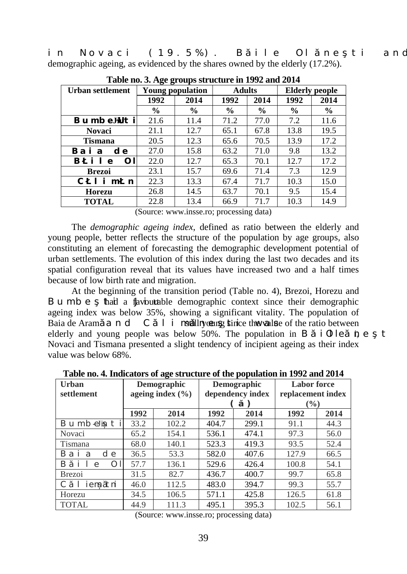in Novaci (19.5%). Bile Ol ne ti and demographic ageing, as evidenced by the shares owned by the elderly (17.2%).

| $\frac{1}{2}$ and $\frac{1}{2}$ and $\frac{1}{2}$ and $\frac{1}{2}$ and $\frac{1}{2}$ and $\frac{1}{2}$ and $\frac{1}{2}$ and $\frac{1}{2}$ |               |                  |               |               |                       |               |  |
|---------------------------------------------------------------------------------------------------------------------------------------------|---------------|------------------|---------------|---------------|-----------------------|---------------|--|
| Urban settlement                                                                                                                            |               | Young population | <b>Adults</b> |               | <b>Elderly people</b> |               |  |
|                                                                                                                                             | 1992          | 2014             | 1992          | 2014          | 1992                  | 2014          |  |
|                                                                                                                                             | $\frac{6}{9}$ | $\%$             | $\%$          | $\frac{6}{9}$ | $\frac{6}{9}$         | $\frac{6}{9}$ |  |
| DwodgJiuvk                                                                                                                                  | 21.6          | 11.4             | 71.2          | 77.0          | 7.2                   | 11.6          |  |
| <b>Novaci</b>                                                                                                                               | 21.1          | 12.7             | 65.1          | 67.8          | 13.8                  | 19.5          |  |
| <b>Tismana</b>                                                                                                                              | 20.5          | 12.3             | 65.6          | 70.5          | 13.9                  | 17.2          |  |
| $Dc k c$ "f g<br>.,                                                                                                                         | 27.0          | 15.8             | 63.2          | 71.0          | 9.8                   | 13.2          |  |
| "<br>D<br>$k \, n \, g$<br>On                                                                                                               | 22.0          | 12.7             | 65.3          | 70.1          | 12.7                  | 17.2          |  |
| <b>Brezoi</b>                                                                                                                               | 23.1          | 15.7             | 69.6          | 71.4          | 7.3                   | 12.9          |  |
| Е<br>n k o<br>p                                                                                                                             | 22.3          | 13.3             | 67.4          | 71.7          | 10.3                  | 15.0          |  |
| <b>Horezu</b>                                                                                                                               | 26.8          | 14.5             | 63.7          | 70.1          | 9.5                   | 15.4          |  |
| <b>TOTAL</b>                                                                                                                                | 22.8          | 13.4             | 66.9          | 71.7          | 10.3                  | 14.9          |  |

**Table no. 3. Age groups structure in 1992 and 2014**

(Source: [www.insse.ro;](http://www.insse.ro/) processing data)

The *demographic ageing index*, defined as ratio between the elderly and young people, better reflects the structure of the population by age groups, also constituting an element of forecasting the demographic development potential of urban settlements. The evolution of this index during the last two decades and its spatial configuration reveal that its values have increased two and a half times because of low birth rate and migration.

At the beginning of the transition period (Table no. 4), Brezoi, Horezu and Bumbe that a flavourable demographic context since their demographic ageing index was below 35%, showing a significant vitality. The population of Baia de Aram  $\alpha$  n d  $\beta$  l i matill nyong stince the value of the ratio between elderly and young people was below 50%. The population in B i  $\theta$  le  $\dot{\mathbf{n}}$  e t Novaci and Tismana presented a slight tendency of incipient ageing as their index value was below 68%.

**Table no. 4. Indicators of age structure of the population in 1992 and 2014**

| Urban<br>settlement                    | Demographic<br>ageing index $(\% )$ |       | Demographic<br>dependency index<br>$*V +$ |       | <b>Labor</b> force<br>replacement index<br>(%) |      |
|----------------------------------------|-------------------------------------|-------|-------------------------------------------|-------|------------------------------------------------|------|
|                                        | 1992                                | 2014  | 1992                                      | 2014  | 1992                                           | 2014 |
| Bu mb eJiu t<br>$\mathbf{1}$           | 33.2                                | 102.2 | 404.7                                     | 299.1 | 91.1                                           | 44.3 |
| Novaci                                 | 65.2                                | 154.1 | 536.1                                     | 474.1 | 97.3                                           | 56.0 |
| Tismana                                | 68.0                                | 140.1 | 523.3                                     | 419.3 | 93.5                                           | 52.4 |
| d<br>B a i<br>a<br>e                   | 36.5                                | 53.3  | 582.0                                     | 407.6 | 127.9                                          | 66.5 |
| B<br>i 1<br>$\Omega$ 1<br>$\mathbf{e}$ | 57.7                                | 136.1 | 529.6                                     | 426.4 | 100.8                                          | 54.1 |
| <b>Brezoi</b>                          | 31.5                                | 82.7  | 436.7                                     | 400.7 | 99.7                                           | 65.8 |
| iem tni                                | 46.0                                | 112.5 | 483.0                                     | 394.7 | 99.3                                           | 55.7 |
| Horezu                                 | 34.5                                | 106.5 | 571.1                                     | 425.8 | 126.5                                          | 61.8 |
| <b>TOTAL</b>                           | 44.9                                | 111.3 | 495.1                                     | 395.3 | 102.5                                          | 56.1 |

(Source: [www.insse.ro;](http://www.insse.ro/) processing data)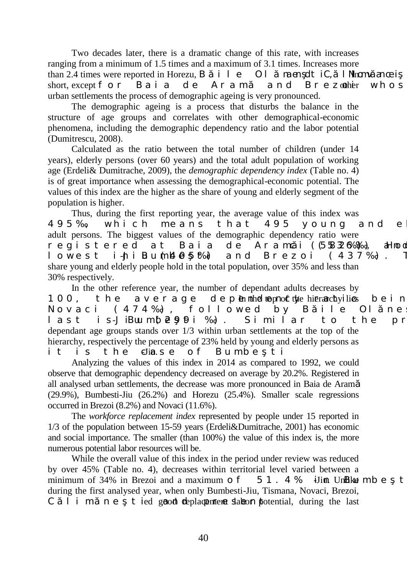Two decades later, there is a dramatic change of this rate, with increases ranging from a minimum of 1.5 times and a maximum of 3.1 times. Increases more than 2.4 times were reported in Horezu, B  $\dot{a}$  1 e Ol mass dt iC, 1 Novam and calimãnes short, except for Baia de Aram and Brezother whos urban settlements the process of demographic ageing is very pronounced.

The demographic ageing is a process that disturbs the balance in the structure of age groups and correlates with other demographical-economic phenomena, including the demographic dependency ratio and the labor potential (Dumitrescu, 2008).

Calculated as the ratio between the total number of children (under 14 years), elderly persons (over 60 years) and the total adult population of working age (Erdeli& Dumitrache, 2009), the *demographic dependency index* (Table no. 4) is of great importance when assessing the demographical-economic potential. The values of this index are the higher as the share of young and elderly segment of the population is higher.

Thus, during the first reporting year, the average value of this index was 495‰, which means that 495 young and el adult persons. The biggest values of the demographic dependency ratio were registered at Baia de Aramci (5832‰‰), aHnod  $l$  owest i-MiBumb $\theta$  5 ‰) and Brezoi (437‰). share young and elderly people hold in the total population, over 35% and less than 30% respectively.

In the other reference year, the number of dependant adults decreases by 100, the average depennihed top mot the hierarchy lies being Novaci (474‰), followed by Bile Ol $n$ e last is-JiBuu m $\mathfrak{b}$  299 i ‰). Similar to the pr dependant age groups stands over 1/3 within urban settlements at the top of the hierarchy, respectively the percentage of 23% held by young and elderly persons as it is the  $e$   $\lim s$  e of Bumbeti

Analyzing the values of this index in 2014 as compared to 1992, we could observe that demographic dependency decreased on average by 20.2%. Registered in all analysed urban settlements, the decrease was more pronounced in Baia de Aramă (29.9%), Bumbesti-Jiu (26.2%) and Horezu (25.4%). Smaller scale regressions occurred in Brezoi (8.2%) and Novaci (11.6%).

The *workforce replacement index* represented by people under 15 reported in 1/3 of the population between 15-59 years (Erdeli&Dumitrache, 2001) has economic and social importance. The smaller (than 100%) the value of this index is, the more numerous potential labor resources will be.

While the overall value of this index in the period under review was reduced by over 45% (Table no. 4), decreases within territorial level varied between a minimum of 34% in Brezoi and a maximum of  $51.4%$  iJin. Unlike mb et during the first analysed year, when only Bumbesti-Jiu, Tismana, Novaci, Brezoi,  $C$  l i m n e t ied good deplacement slabon potential, during the last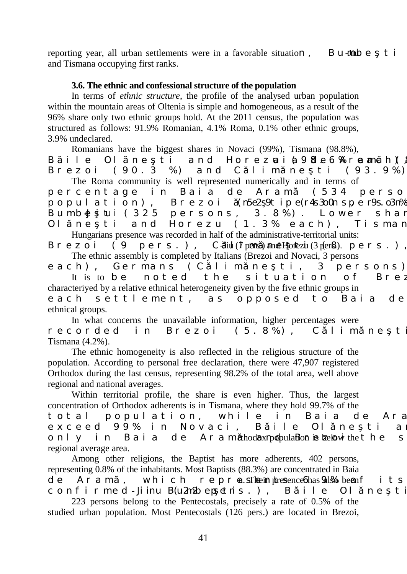reporting year, all urban settlements were in a favorable situation, Bumber t i and Tismana occupying first ranks.

## **3.6. The ethnic and confessional structure of the population**

In terms of *ethnic structure*, the profile of the analysed urban population within the mountain areas of Oltenia is simple and homogeneous, as a result of the 96% share only two ethnic groups hold. At the 2011 census, the population was structured as follows: 91.9% Romanian, 4.1% Roma, 0.1% other ethnic groups, 3.9% undeclared.

Romanians have the biggest shares in Novaci (99%), Tismana (98.8%),

B ile Ol ne ti and Horezui (498.6% ramch), Brezoi (90.3 %) and C lim ne ti (93.9%). The Roma community is well represented numerically and in terms of

percentage in Baia de Aram (534 perso population), Brezoi ( $n5e^2$ 9tip  $e(r4s300n s p e r9s. 03n\%$ Bumbelitui (325 persons, 3.8%). Lower shar Ol ne ti and Horezu (1.3% each), Tisman Hungarians presence was recorded in half of the administrative-territorial units:

Brezoi (9 pers.), C-Jiul (7 pers.) and Horteziu (3 pers.),  $p$ ers.). The ethnic assembly is completed by Italians (Brezoi and Novaci, 3 persons

each), Germans (Climane ti, 3 persons) It is to be noted the situation of Brez characteriyed by a relative ethnical heterogeneity given by the five ethnic groups in

each settlement, as opposed to Baia de ethnical groups.

In what concerns the unavailable information, higher percentages were recorded in Brezoi (5.8%), Climne ti Tismana (4.2%).

The ethnic homogeneity is also reflected in the religious structure of the population. According to personal free declaration, there were 47,907 registered Orthodox during the last census, representing 98.2% of the total area, well above regional and national averages.

Within territorial profile, the share is even higher. Thus, the largest concentration of Orthodox adherents is in Tismana, where they hold 99.7% of the total population, while in Baia de Ara exceed 99% in Novaci, Bile Ol ne ti an only in Baia de Aram rthodox npdpula**Bon is below** the the s regional average area.

Among other religions, the Baptist has more adherents, 402 persons, representing 0.8% of the inhabitants. Most Baptists (88.3%) are concentrated in Baia de Aram, which reprensis Their presence 6 has 9.186 been fits confirmed - Jiinu B (u $2m2b$  epetris.), Bile Ol ne ti

223 persons belong to the Pentecostals, precisely a rate of 0.5% of the studied urban population. Most Pentecostals (126 pers.) are located in Brezoi,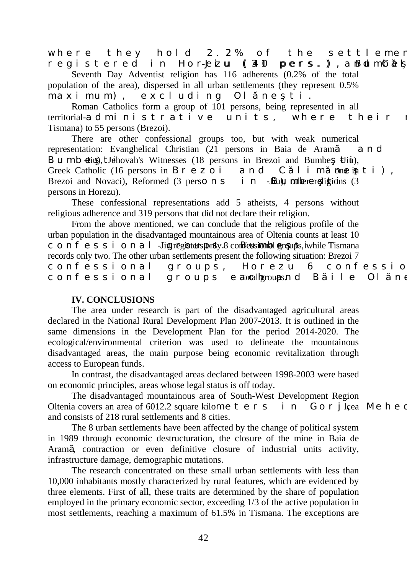where they hold  $2.2\%$  of the settlemen registered in Hor-Eizu (310 pers.), anBolm Gel

Seventh Day Adventist religion has 116 adherents (0.2% of the total population of the area), dispersed in all urban settlements (they represent 0.5% maximum), excluding Ol ne ti.

Roman Catholics form a group of 101 persons, being represented in all territorial-administrative units, where their Tismana) to 55 persons (Brezoi).

There are other confessional groups too, but with weak numerical representation: Evanghelical Christian (21 persons in Baia de Aram and Bumb  $\overline{d}$ iu), J $\overline{d}$ hovah's Witnesses (18 persons in Brezoi and Bumbe  $\overline{d}$ iu), Greek Catholic (16 persons in B  $r \in \mathbb{Z}$  o i and C l i m ones in t i), Brezoi and Novaci), Reformed  $(3 \text{ person } s \text{ i } n$  -JBum, other religions  $(3 \text{ person } s \text{ i } n)$ persons in Horezu).

These confessional representations add 5 atheists, 4 persons without religious adherence and 319 persons that did not declare their religion.

From the above mentioned, we can conclude that the religious profile of the urban population in the disadvantaged mountainous area of Oltenia counts at least 10 confessional -Jiu registers punk 8 confessional groups, in while Tismana records only two. The other urban settlements present the following situation: Brezoi 7 confessional groups, Horezu 6 confessio confessional groups eaoncalh groups. Bile Ol ne

#### **IV. CONCLUSIONS**

The area under research is part of the disadvantaged agricultural areas declared in the National Rural Development Plan 2007-2013. It is outlined in the same dimensions in the Development Plan for the period 2014-2020. The ecological/environmental criterion was used to delineate the mountainous disadvantaged areas, the main purpose being economic revitalization through access to European funds.

In contrast, the disadvantaged areas declared between 1998-2003 were based on economic principles, areas whose legal status is off today.

The disadvantaged mountainous area of South-West Development Region Oltenia covers an area of 6012.2 square kilometers in Gorjl, Gorg, Meheding and consists of 218 rural settlements and 8 cities.

The 8 urban settlements have been affected by the change of political system in 1989 through economic destructuration, the closure of the mine in Baia de Aram , contraction or even definitive closure of industrial units activity, infrastructure damage, demographic mutations.

The research concentrated on these small urban settlements with less than 10,000 inhabitants mostly characterized by rural features, which are evidenced by three elements. First of all, these traits are determined by the share of population employed in the primary economic sector, exceeding 1/3 of the active population in most settlements, reaching a maximum of 61.5% in Tismana. The exceptions are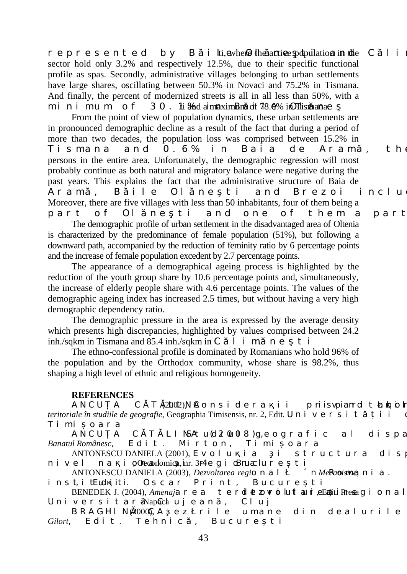represented by B i lti, ewhere the antive population in the C  $1$  i sector hold only 3.2% and respectively 12.5%, due to their specific functional profile as spas. Secondly, administrative villages belonging to urban settlements have large shares, oscillating between 50.3% in Novaci and 75.2% in Tismana. And finally, the percent of modernized streets is all in all less than 50%, with a minimum of  $30$ . 1 i  $\%$  a maximum of  $78.6\%$  in Ollisman as

From the point of view of population dynamics, these urban settlements are in pronounced demographic decline as a result of the fact that during a period of more than two decades, the population loss was comprised between 15.2% in Tismana and  $0.6\%$  in Baia de Aram, the persons in the entire area. Unfortunately, the demographic regression will most probably continue as both natural and migratory balance were negative during the past years. This explains the fact that the administrative structure of Baia de Aram , Bile Ol ne ti and Brezoi includ Moreover, there are five villages with less than 50 inhabitants, four of them being a part of Olne ti and one of them a part The demographic profile of urban settlement in the disadvantaged area of Oltenia is characterized by the predominance of female population (51%), but following a downward path, accompanied by the reduction of feminity ratio by 6 percentage points

and the increase of female population excedent by 2.7 percentage points. The appearance of a demographical ageing process is highlighted by the reduction of the youth group share by 10.6 percentage points and, simultaneously, the increase of elderly people share with 4.6 percentage points. The values of the demographic ageing index has increased 2.5 times, but without having a very high demographic dependency ratio.

The demographic pressure in the area is expressed by the average density which presents high discrepancies, highlighted by values comprised between 24.2 inh./sqkm in Tismana and 85.4 inh./sqkm in  $C = 1$  i m. n e t i

The ethno-confessional profile is dominated by Romanians who hold 96% of the population and by the Orthodox community, whose share is 98.2%, thus shaping a high level of ethnic and religious homogeneity.

#### **REFERENCES**

ANCU A C T (2002)NE q p u k f g t c k k " r tkkuxrkcpt fk "v c d kq th *teritoriale în studiile de geografie,* Geographia Timisensis, nr. 2, Edit. Un i v e r s i t i i Timi oara

ANCU A C T LIN*DA w* (f  $x$  0w0n 8')i, g q i t c h k e " c n " f k u r c *Banatul Românesc*, Edit. Mirton, Timișoara

ANTONESCU DANIELA (2001),  $Gx q n w k c'' k w v t w e v w t c'' f k u$  $p \mid k \mid x \mid g \mid n \mid p \mid c \quad k \mid q$ Qeconomica, hr. 3 $t \mid 3t \mid q \mid g \mid i$ ,  $k \mid qB$ pucchureți

ANTONESCU DANIELA (2003), *Dezvoltarea regiq p c n*  $\blacksquare$ , *p Metanisme*, *p k c 0* 

*k puv, k v*Ewdi*kt K* Oscar Print, Bucure ti BENEDEK J. (2004), *Amenajc t g c " v g t fk g |q x*  $\frac{d}{dx}$  *www.ovk.*  $\frac{d}{dx}$ *Edit<sup>k</sup>. Presai k q p c n* 

Universitar-Napochujean, Cluj BRAGHIN(2000), *C* g | t k n g " w o c p g " f k p " f g c n w t k n g ' Gilort, Edit. Tehnic, Bucureți